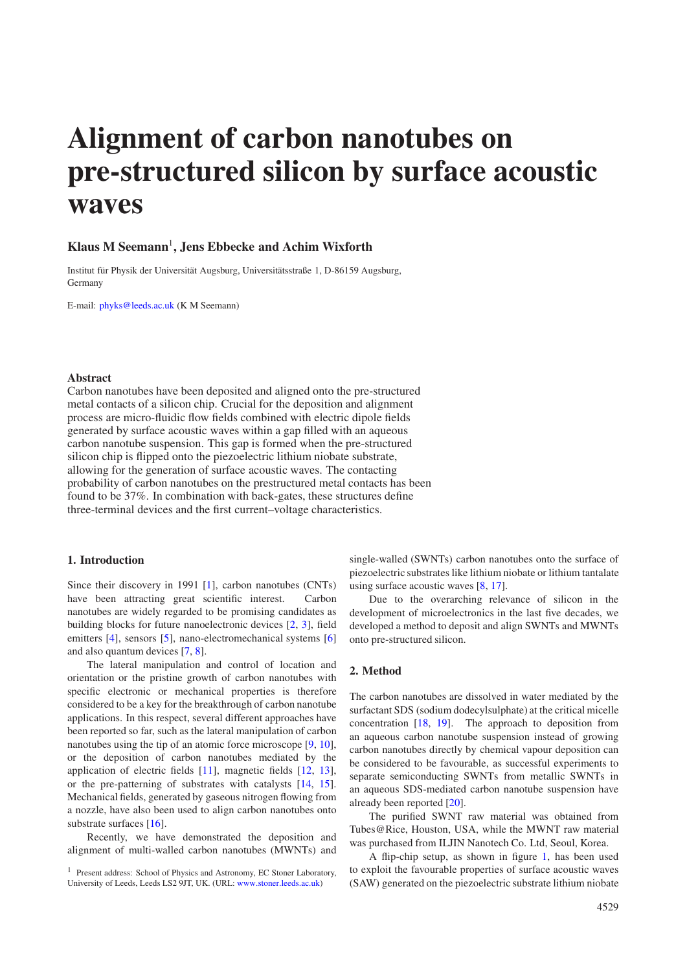# **Alignment of carbon nanotubes on pre-structured silicon by surface acoustic waves**

# **Klaus M Seemann** 1 **, Jens Ebbecke and Achim Wixforth**

Institut für Physik der Universität Augsburg, Universitätsstraße 1, D-86159 Augsburg, Germany

E-mail: [phyks@leeds.ac.uk](mailto:phyks@leeds.ac.uk) (K M Seemann)

#### **Abstract**

Carbon nanotubes have been deposited and aligned onto the pre-structured metal contacts of a silicon chip. Crucial for the deposition and alignment process are micro-fluidic flow fields combined with electric dipole fields generated by surface acoustic waves within a gap filled with an aqueous carbon nanotube suspension. This gap is formed when the pre-structured silicon chip is flipped onto the piezoelectric lithium niobate substrate, allowing for the generation of surface acoustic waves. The contacting probability of carbon nanotubes on the prestructured metal contacts has been found to be 37%. In combination with back-gates, these structures define three-terminal devices and the first current–voltage characteristics.

#### **1. Introduction**

Since their discovery in 1991 [\[1\]](#page-3-0), carbon nanotubes (CNTs) have been attracting great scientific interest. Carbon nanotubes are widely regarded to be promising candidates as building blocks for future nanoelectronic devices [\[2,](#page-3-1) [3\]](#page-3-2), field emitters [\[4\]](#page-3-3), sensors [\[5\]](#page-3-4), nano-electromechanical systems [\[6\]](#page-3-5) and also quantum devices [\[7,](#page-3-6) [8\]](#page-3-7).

The lateral manipulation and control of location and orientation or the pristine growth of carbon nanotubes with specific electronic or mechanical properties is therefore considered to be a key for the breakthrough of carbon nanotube applications. In this respect, several different approaches have been reported so far, such as the lateral manipulation of carbon nanotubes using the tip of an atomic force microscope [\[9,](#page-3-8) [10\]](#page-3-9), or the deposition of carbon nanotubes mediated by the application of electric fields [\[11\]](#page-3-10), magnetic fields [\[12,](#page-3-11) [13\]](#page-3-12), or the pre-patterning of substrates with catalysts [\[14,](#page-3-13) [15\]](#page-3-14). Mechanical fields, generated by gaseous nitrogen flowing from a nozzle, have also been used to align carbon nanotubes onto substrate surfaces [\[16\]](#page-3-15).

Recently, we have demonstrated the deposition and alignment of multi-walled carbon nanotubes (MWNTs) and

single-walled (SWNTs) carbon nanotubes onto the surface of piezoelectric substrateslike lithium niobate or lithium tantalate using surface acoustic waves [\[8,](#page-3-7) [17\]](#page-3-16).

Due to the overarching relevance of silicon in the development of microelectronics in the last five decades, we developed a method to deposit and align SWNTs and MWNTs onto pre-structured silicon.

## **2. Method**

The carbon nanotubes are dissolved in water mediated by the surfactant SDS (sodium dodecylsulphate) at the critical micelle concentration [\[18,](#page-3-17) [19\]](#page-3-18). The approach to deposition from an aqueous carbon nanotube suspension instead of growing carbon nanotubes directly by chemical vapour deposition can be considered to be favourable, as successful experiments to separate semiconducting SWNTs from metallic SWNTs in an aqueous SDS-mediated carbon nanotube suspension have already been reported [\[20\]](#page-3-19).

The purified SWNT raw material was obtained from Tubes@Rice, Houston, USA, while the MWNT raw material was purchased from ILJIN Nanotech Co. Ltd, Seoul, Korea.

A flip-chip setup, as shown in figure [1,](#page-1-0) has been used to exploit the favourable properties of surface acoustic waves (SAW) generated on the piezoelectric substrate lithium niobate

<sup>&</sup>lt;sup>1</sup> Present address: School of Physics and Astronomy, EC Stoner Laboratory, University of Leeds, Leeds LS2 9JT, UK. (URL: [www.stoner.leeds.ac.uk\)](http://www.stoner.leeds.ac.uk)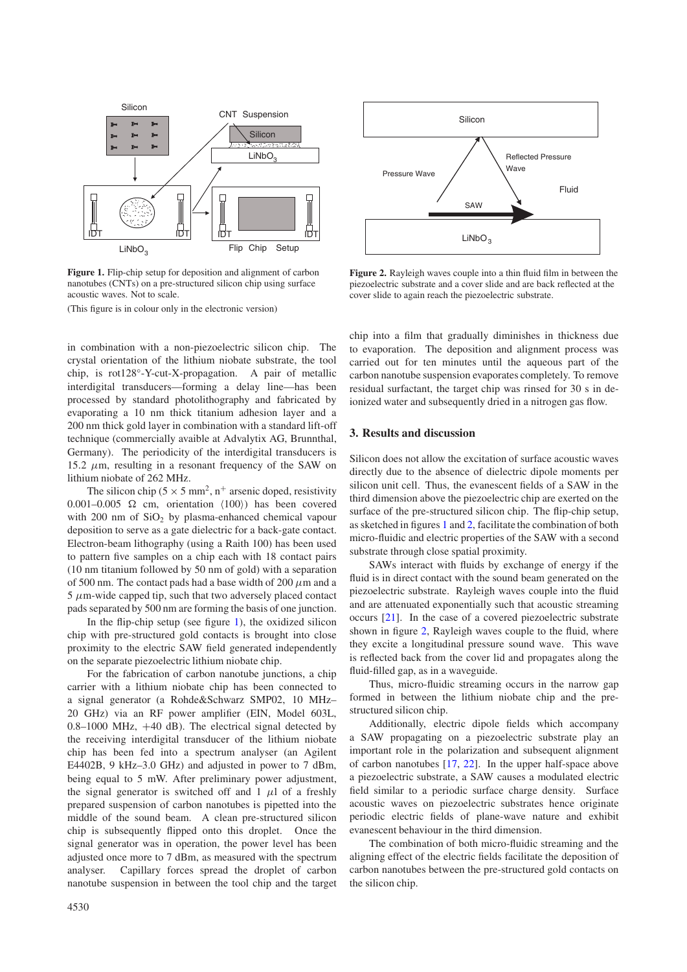<span id="page-1-0"></span>

**Figure 1.** Flip-chip setup for deposition and alignment of carbon nanotubes (CNTs) on a pre-structured silicon chip using surface acoustic waves. Not to scale.

(This figure is in colour only in the electronic version)

in combination with a non-piezoelectric silicon chip. The crystal orientation of the lithium niobate substrate, the tool chip, is rot128°-Y-cut-X-propagation. A pair of metallic interdigital transducers—forming a delay line—has been processed by standard photolithography and fabricated by evaporating a 10 nm thick titanium adhesion layer and a 200 nm thick gold layer in combination with a standard lift-off technique (commercially avaible at Advalytix AG, Brunnthal, Germany). The periodicity of the interdigital transducers is 15.2  $\mu$ m, resulting in a resonant frequency of the SAW on lithium niobate of 262 MHz.

The silicon chip ( $5 \times 5$  mm<sup>2</sup>, n<sup>+</sup> arsenic doped, resistivity  $0.001 - 0.005$   $\Omega$  cm, orientation  $\langle 100 \rangle$  has been covered with 200 nm of  $SiO<sub>2</sub>$  by plasma-enhanced chemical vapour deposition to serve as a gate dielectric for a back-gate contact. Electron-beam lithography (using a Raith 100) has been used to pattern five samples on a chip each with 18 contact pairs (10 nm titanium followed by 50 nm of gold) with a separation of 500 nm. The contact pads had a base width of 200  $\mu$ m and a  $5 \mu$ m-wide capped tip, such that two adversely placed contact pads separated by 500 nm are forming the basis of one junction.

In the flip-chip setup (see figure [1\)](#page-1-0), the oxidized silicon chip with pre-structured gold contacts is brought into close proximity to the electric SAW field generated independently on the separate piezoelectric lithium niobate chip.

For the fabrication of carbon nanotube junctions, a chip carrier with a lithium niobate chip has been connected to a signal generator (a Rohde&Schwarz SMP02, 10 MHz– 20 GHz) via an RF power amplifier (EIN, Model 603L, 0.8–1000 MHz, +40 dB). The electrical signal detected by the receiving interdigital transducer of the lithium niobate chip has been fed into a spectrum analyser (an Agilent E4402B, 9 kHz–3.0 GHz) and adjusted in power to 7 dBm, being equal to 5 mW. After preliminary power adjustment, the signal generator is switched off and 1  $\mu$ l of a freshly prepared suspension of carbon nanotubes is pipetted into the middle of the sound beam. A clean pre-structured silicon chip is subsequently flipped onto this droplet. Once the signal generator was in operation, the power level has been adjusted once more to 7 dBm, as measured with the spectrum analyser. Capillary forces spread the droplet of carbon nanotube suspension in between the tool chip and the target

<span id="page-1-1"></span>

**Figure 2.** Rayleigh waves couple into a thin fluid film in between the piezoelectric substrate and a cover slide and are back reflected at the cover slide to again reach the piezoelectric substrate.

chip into a film that gradually diminishes in thickness due to evaporation. The deposition and alignment process was carried out for ten minutes until the aqueous part of the carbon nanotube suspension evaporates completely. To remove residual surfactant, the target chip was rinsed for 30 s in deionized water and subsequently dried in a nitrogen gas flow.

# **3. Results and discussion**

Silicon does not allow the excitation of surface acoustic waves directly due to the absence of dielectric dipole moments per silicon unit cell. Thus, the evanescent fields of a SAW in the third dimension above the piezoelectric chip are exerted on the surface of the pre-structured silicon chip. The flip-chip setup, assketched in figures [1](#page-1-0) and [2,](#page-1-1) facilitate the combination of both micro-fluidic and electric properties of the SAW with a second substrate through close spatial proximity.

SAWs interact with fluids by exchange of energy if the fluid is in direct contact with the sound beam generated on the piezoelectric substrate. Rayleigh waves couple into the fluid and are attenuated exponentially such that acoustic streaming occurs [\[21\]](#page-3-20). In the case of a covered piezoelectric substrate shown in figure [2,](#page-1-1) Rayleigh waves couple to the fluid, where they excite a longitudinal pressure sound wave. This wave is reflected back from the cover lid and propagates along the fluid-filled gap, as in a waveguide.

Thus, micro-fluidic streaming occurs in the narrow gap formed in between the lithium niobate chip and the prestructured silicon chip.

Additionally, electric dipole fields which accompany a SAW propagating on a piezoelectric substrate play an important role in the polarization and subsequent alignment of carbon nanotubes [\[17,](#page-3-16) [22\]](#page-3-21). In the upper half-space above a piezoelectric substrate, a SAW causes a modulated electric field similar to a periodic surface charge density. Surface acoustic waves on piezoelectric substrates hence originate periodic electric fields of plane-wave nature and exhibit evanescent behaviour in the third dimension.

The combination of both micro-fluidic streaming and the aligning effect of the electric fields facilitate the deposition of carbon nanotubes between the pre-structured gold contacts on the silicon chip.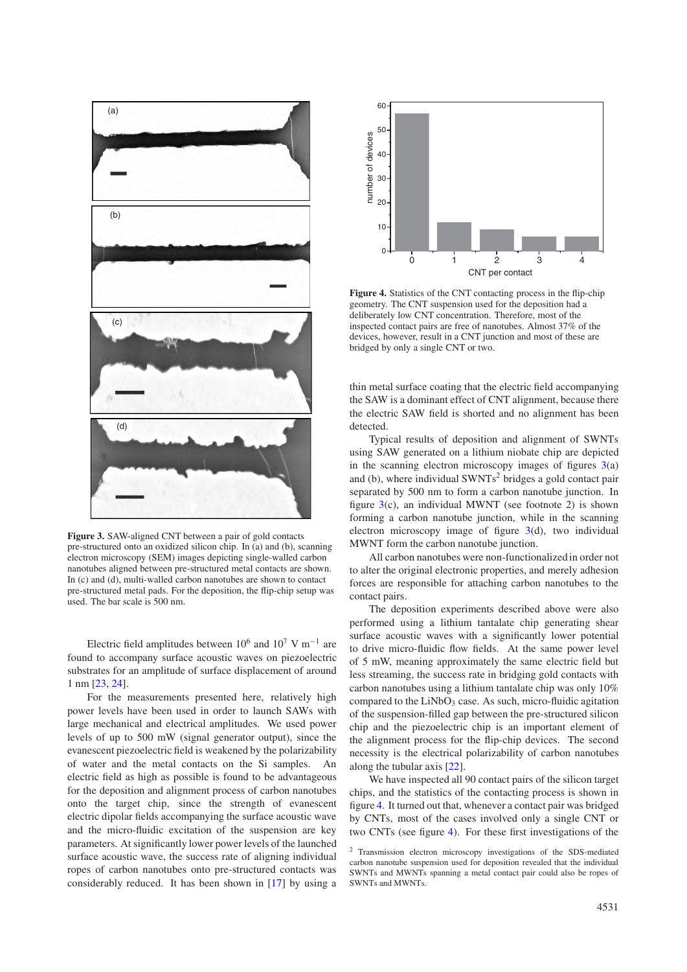<span id="page-2-0"></span>

**Figure 3.** SAW-aligned CNT between a pair of gold contacts pre-structured onto an oxidized silicon chip. In (a) and (b), scanning electron microscopy (SEM) images depicting single-walled carbon nanotubes aligned between pre-structured metal contacts are shown. In (c) and (d), multi-walled carbon nanotubes are shown to contact pre-structured metal pads. For the deposition, the flip-chip setup was used. The bar scale is 500 nm.

Electric field amplitudes between  $10^6$  and  $10^7$  V m<sup>-1</sup> are found to accompany surface acoustic waves on piezoelectric substrates for an amplitude of surface displacement of around 1 nm [\[23,](#page-3-22) [24\]](#page-3-23).

For the measurements presented here, relatively high power levels have been used in order to launch SAWs with large mechanical and electrical amplitudes. We used power levels of up to 500 mW (signal generator output), since the evanescent piezoelectric field is weakened by the polarizability of water and the metal contacts on the Si samples. An electric field as high as possible is found to be advantageous for the deposition and alignment process of carbon nanotubes onto the target chip, since the strength of evanescent electric dipolar fields accompanying the surface acoustic wave and the micro-fluidic excitation of the suspension are key parameters. At significantly lower power levels of the launched surface acoustic wave, the success rate of aligning individual ropes of carbon nanotubes onto pre-structured contacts was considerably reduced. It has been shown in [\[17\]](#page-3-16) by using a

<span id="page-2-2"></span>

**Figure 4.** Statistics of the CNT contacting process in the flip-chip geometry. The CNT suspension used for the deposition had a deliberately low CNT concentration. Therefore, most of the inspected contact pairs are free of nanotubes. Almost 37% of the devices, however, result in a CNT junction and most of these are bridged by only a single CNT or two.

thin metal surface coating that the electric field accompanying the SAW is a dominant effect of CNT alignment, because there the electric SAW field is shorted and no alignment has been detected.

Typical results of deposition and alignment of SWNTs using SAW generated on a lithium niobate chip are depicted in the scanning electron microscopy images of figures  $3(a)$  $3(a)$ and (b), where individual  $\text{SWNTs}^2$  $\text{SWNTs}^2$  bridges a gold contact pair separated by 500 nm to form a carbon nanotube junction. In figure  $3(c)$  $3(c)$ , an individual MWNT (see footnote 2) is shown forming a carbon nanotube junction, while in the scanning electron microscopy image of figure [3\(](#page-2-0)d), two individual MWNT form the carbon nanotube junction.

All carbon nanotubes were non-functionalized in order not to alter the original electronic properties, and merely adhesion forces are responsible for attaching carbon nanotubes to the contact pairs.

The deposition experiments described above were also performed using a lithium tantalate chip generating shear surface acoustic waves with a significantly lower potential to drive micro-fluidic flow fields. At the same power level of 5 mW, meaning approximately the same electric field but less streaming, the success rate in bridging gold contacts with carbon nanotubes using a lithium tantalate chip was only 10% compared to the  $LiNbO<sub>3</sub>$  case. As such, micro-fluidic agitation of the suspension-filled gap between the pre-structured silicon chip and the piezoelectric chip is an important element of the alignment process for the flip-chip devices. The second necessity is the electrical polarizability of carbon nanotubes along the tubular axis [\[22\]](#page-3-21).

<span id="page-2-1"></span>We have inspected all 90 contact pairs of the silicon target chips, and the statistics of the contacting process is shown in figure [4.](#page-2-2) It turned out that, whenever a contact pair was bridged by CNTs, most of the cases involved only a single CNT or two CNTs (see figure [4\)](#page-2-2). For these first investigations of the

<sup>2</sup> Transmission electron microscopy investigations of the SDS-mediated carbon nanotube suspension used for deposition revealed that the individual SWNTs and MWNTs spanning a metal contact pair could also be ropes of SWNTs and MWNTs.